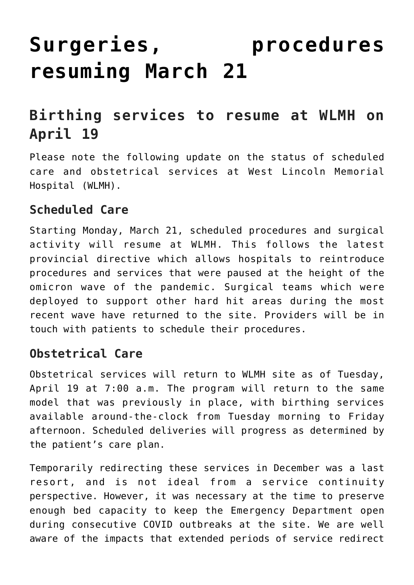## **[Surgeries, procedures](https://wlmh.ca/surgeries-procedures-resuming-march-21/) [resuming March 21](https://wlmh.ca/surgeries-procedures-resuming-march-21/)**

## **Birthing services to resume at WLMH on April 19**

Please note the following update on the status of scheduled care and obstetrical services at West Lincoln Memorial Hospital (WLMH).

## **Scheduled Care**

Starting Monday, March 21, scheduled procedures and surgical activity will resume at WLMH. This follows the latest provincial directive which allows hospitals to reintroduce procedures and services that were paused at the height of the omicron wave of the pandemic. Surgical teams which were deployed to support other hard hit areas during the most recent wave have returned to the site. Providers will be in touch with patients to schedule their procedures.

## **Obstetrical Care**

Obstetrical services will return to WLMH site as of Tuesday, April 19 at 7:00 a.m. The program will return to the same model that was previously in place, with birthing services available around-the-clock from Tuesday morning to Friday afternoon. Scheduled deliveries will progress as determined by the patient's care plan.

Temporarily redirecting these services in December was a last resort, and is not ideal from a service continuity perspective. However, it was necessary at the time to preserve enough bed capacity to keep the Emergency Department open during consecutive COVID outbreaks at the site. We are well aware of the impacts that extended periods of service redirect